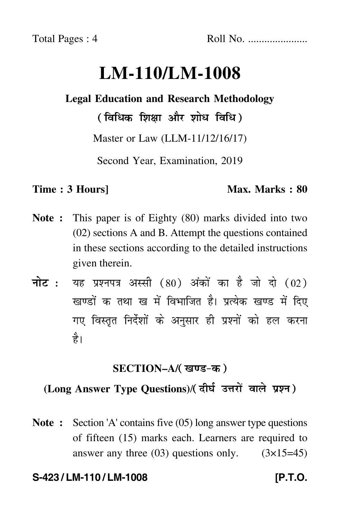# **LM-110/LM-1008**

## **Legal Education and Research Methodology**

( विधिक शिक्षा और शोध विधि )

Master or Law (LLM-11/12/16/17)

Second Year, Examination, 2019

### **Time : 3 Hours]** Max. Marks : 80

- **Note :** This paper is of Eighty (80) marks divided into two (02) sections A and B. Attempt the questions contained in these sections according to the detailed instructions given therein.
- नोट : यह प्रश्नपत्र अस्सी (80) अंकों का है जो दो (02) खण्डों क तथा ख में विभाजित है। प्रत्येक खण्ड में दिए गए विस्तृत निर्देशों के अनुसार ही प्रश्नों को हल करन<mark>ा</mark> है।

### **SECTION–A/**

### **(Long Answer Type Questions)**/

**Note :** Section 'A' contains five (05) long answer type questions of fifteen (15) marks each. Learners are required to answer any three  $(03)$  questions only.  $(3\times15=45)$ 

### **S-423 / LM-110 / LM-1008 [P.T.O.**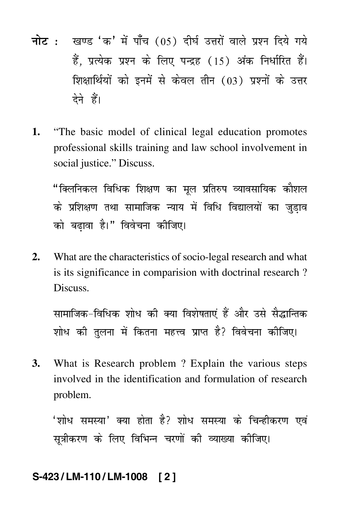- <mark>नोट</mark> : खण्ड 'क' में पाँच (05) दीर्घ उत्तरों वाले प्रश्न दिये गये हैं, प्रत्येक प्रश्न के लिए पन्द्रह (15) अंक निर्धारित हैं। शिक्षार्थियों को इनमें से केवल तीन (03) प्रश्नों के उत्तर देने हैं।
- **1.** "The basic model of clinical legal education promotes professional skills training and law school involvement in social justice." Discuss.

1 C - C - 1 C - 2 V - 
 - -- - !" #\$% -वेवेचना क<mark>ी</mark><br>'  $(1)$ 

**2.** What are the characteristics of socio-legal research and what is its significance in comparision with doctrinal research ? Discuss.

-)-- \*(#+ ,- .- सामाजिक-विधिक शोध की क्या विशेषताएं हैं और उसे सैद्धान्तिक Ĵ lोध की तुलना में कितना महत्त्व प्राप्त है? विवेचना की<br> #/ 0 # 1 -(a) (b) (b) (b) (b)

**3.** What is Research problem ? Explain the various steps involved in the identification and formulation of research problem.

2 34 # #1 3 -'शोध समस्या' क्या होता है? शोध समस्या के चिन्हीकरण एवं सूत्रीकरण के लिए विभिन्न चरणों की व्याख्या कीजिए।<br>'

### **S-423 / LM-110 / LM-1008 [ 2 ]**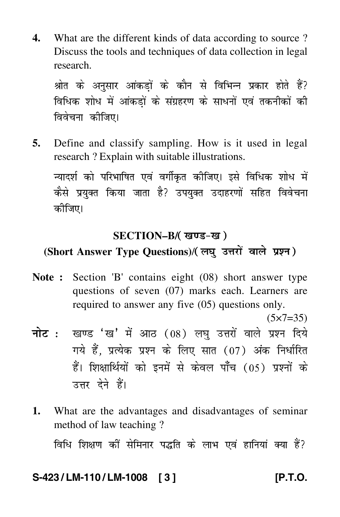**4.** What are the different kinds of data according to source ? Discuss the tools and techniques of data collection in legal research.

 $\frac{1}{2}$  and  $\frac{1}{2}$  and  $\frac{1}{2}$  and  $\frac{1}{2}$  and  $\frac{1}{2}$  and  $\frac{1}{2}$  and  $\frac{1}{2}$  and  $\frac{1}{2}$ . .. . ..<br>ਰਿਹੇਰਾਜ lोध में आंकड़ों के संग्रहरण के साधनों एवं तकनीकों की<br>नर्भन्या -वेवेचना क<mark>ी</mark><br>'  $\mathcal{L}(\mathcal{S})$ 

**5.** Define and classify sampling. How is it used in legal research ? Explain with suitable illustrations.  $\frac{1}{2}$ न्यादर्श को परिभाषित एवं वर्गीकृत कीजिए। इसे विधिक शोध में . . . . . . . . . .<br><del>. . . . . . .</del> . # 1 - -:#,
 -# -& की<br>ि

### **SECTION–B/**

### **(Short Answer Type Questions)**/

- **Note :** Section 'B' contains eight (08) short answer type questions of seven (07) marks each. Learners are required to answer any five (05) questions only.
- $(5 \times 7 = 35)$ <mark>नोट</mark> : खण्ड 'ख' में आठ (08) लघु उत्तरों वाले प्रश्न दिये गये हैं, प्रत्येक प्रश्न के लिए सात (07) अंक निर्धारित हैं। शिक्षार्थियों को इनमें से केवल पाँच (05) प्रश्नों के उत्तर देने हैं।
- **1.** What are the advantages and disadvantages of seminar method of law teaching ?

-- -Ĵ विधि शिक्षण कों सेमिनार पद्धति के लाभ एवं हानियां क्या हैं?  $\cdots$  $\frac{1}{2}$  for  $\frac{1}{2}$  and  $\frac{1}{2}$  for  $\frac{1}{2}$ #1

### **S-423 / LM-110 / LM-1008 [ 3 ] [P.T.O.**

 $\overline{a}$